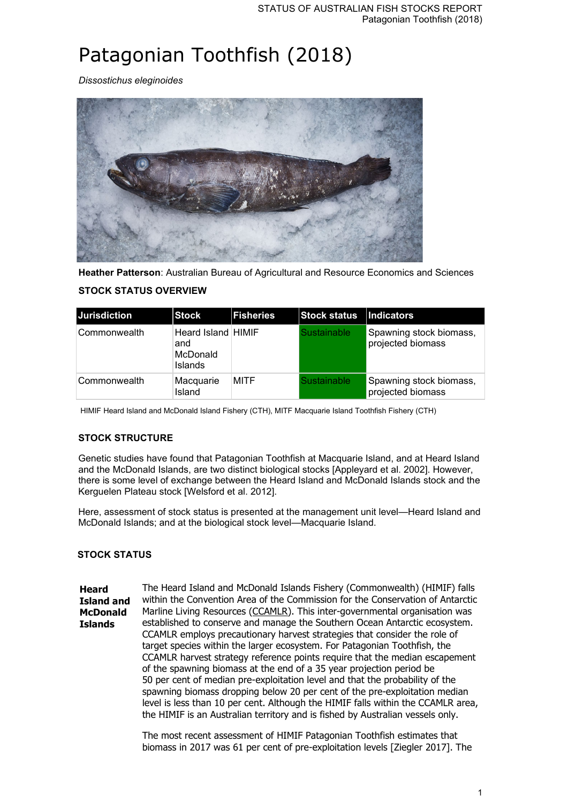# Patagonian Toothfish (2018)

*Dissostichus eleginoides*



**Heather Patterson**: Australian Bureau of Agricultural and Resource Economics and Sciences

| <b>Jurisdiction</b> | <b>Stock</b>                                            | <b>IFisheries</b> | <b>Stock status</b> | Indicators                                   |
|---------------------|---------------------------------------------------------|-------------------|---------------------|----------------------------------------------|
| Commonwealth        | Heard Island HIMIF<br>and<br>McDonald<br><b>Islands</b> |                   | <b>Sustainable</b>  | Spawning stock biomass,<br>projected biomass |
| Commonwealth        | Macquarie<br>Island                                     | <b>MITF</b>       | <b>Sustainable</b>  | Spawning stock biomass,<br>projected biomass |

# **STOCK STATUS OVERVIEW**

HIMIF Heard Island and McDonald Island Fishery (CTH), MITF Macquarie Island Toothfish Fishery (CTH)

# **STOCK STRUCTURE**

Genetic studies have found that Patagonian Toothfish at Macquarie Island, and at Heard Island and the McDonald Islands, are two distinct biological stocks [Appleyard et al. 2002]. However, there is some level of exchange between the Heard Island and McDonald Islands stock and the Kerguelen Plateau stock [Welsford et al. 2012].

Here, assessment of stock status is presented at the management unit level—Heard Island and McDonald Islands; and at the biological stock level—Macquarie Island.

## **STOCK STATUS**

**Heard Island and McDonald Islands** The Heard Island and McDonald Islands Fishery (Commonwealth) (HIMIF) falls within the Convention Area of the Commission for the Conservation of Antarctic Marline Living Resources (CCAMLR). This inter-governmental organisation was established to conserve and manage the Southern Ocean Antarctic ecosystem. CCAMLR employs precautionary harvest strategies that consider the role of target species within the larger ecosystem. For Patagonian Toothfish, the CCAMLR harvest strategy reference points require that the median escapement of the spawning biomass at the end of a 35 year projection period be 50 per cent of median pre-exploitation level and that the probability of the spawning biomass dropping below 20 per cent of the pre-exploitation median level is less than 10 per cent. Although the HIMIF falls within the CCAMLR area, the HIMIF is an Australian territory and is fished by Australian vessels only.

> The most recent assessment of HIMIF Patagonian Toothfish estimates that biomass in 2017 was 61 per cent of pre-exploitation levels [Ziegler 2017]. The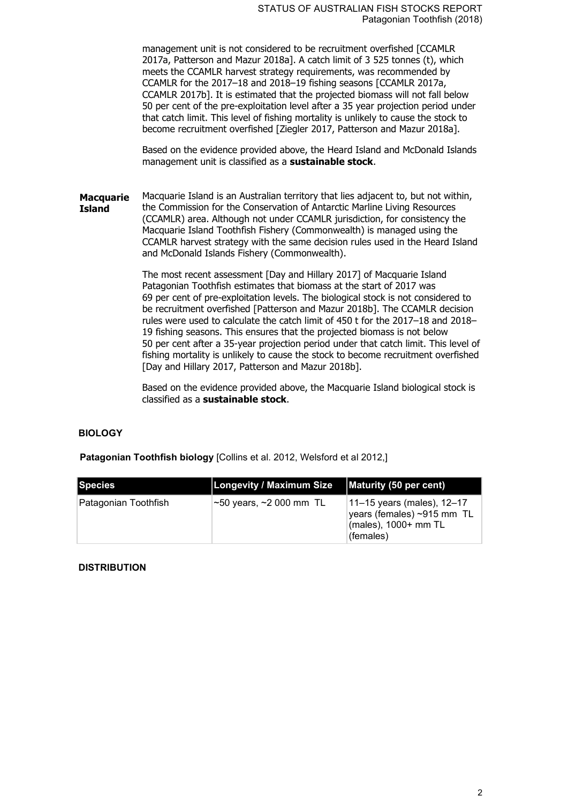management unit is not considered to be recruitment overfished [CCAMLR 2017a, Patterson and Mazur 2018a]. A catch limit of 3 525 tonnes (t), which meets the CCAMLR harvest strategy requirements, was recommended by CCAMLR for the 2017–18 and 2018–19 fishing seasons [CCAMLR 2017a, CCAMLR 2017b]. It is estimated that the projected biomass will not fall below 50 per cent of the pre-exploitation level after a 35 year projection period under that catch limit. This level of fishing mortality is unlikely to cause the stock to become recruitment overfished [Ziegler 2017, Patterson and Mazur 2018a].

Based on the evidence provided above, the Heard Island and McDonald Islands management unit is classified as a **sustainable stock**.

**Macquarie Island** Macquarie Island is an Australian territory that lies adjacent to, but not within, the Commission for the Conservation of Antarctic Marline Living Resources (CCAMLR) area. Although not under CCAMLR jurisdiction, for consistency the Macquarie Island Toothfish Fishery (Commonwealth) is managed using the CCAMLR harvest strategy with the same decision rules used in the Heard Island and McDonald Islands Fishery (Commonwealth).

> The most recent assessment [Day and Hillary 2017] of Macquarie Island Patagonian Toothfish estimates that biomass at the start of 2017 was 69 per cent of pre-exploitation levels. The biological stock is not considered to be recruitment overfished [Patterson and Mazur 2018b]. The CCAMLR decision rules were used to calculate the catch limit of 450 t for the 2017–18 and 2018– 19 fishing seasons. This ensures that the projected biomass is not below 50 per cent after a 35-year projection period under that catch limit. This level of fishing mortality is unlikely to cause the stock to become recruitment overfished [Day and Hillary 2017, Patterson and Mazur 2018b].

Based on the evidence provided above, the Macquarie Island biological stock is classified as a **sustainable stock**.

## **BIOLOGY**

**Patagonian Toothfish biology** [Collins et al. 2012, Welsford et al 2012,]

| <b>Species</b>       | <b>Longevity / Maximum Size</b>     | Maturity (50 per cent)                                                                                      |
|----------------------|-------------------------------------|-------------------------------------------------------------------------------------------------------------|
| Patagonian Toothfish | $\sim$ 50 years, $\sim$ 2 000 mm TL | 11–15 years (males), 12–17<br>years (females) ~915 mm TL<br>$\frac{1}{2}$ (males), 1000+ mm TL<br>(females) |

## **DISTRIBUTION**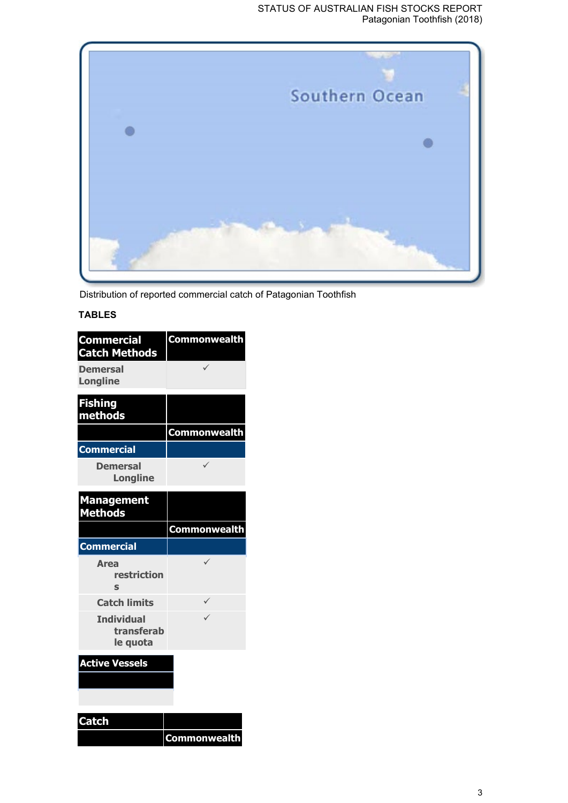#### STATUS OF AUSTRALIAN FISH STOCKS REPORT Patagonian Toothfish (2018)



Distribution of reported commercial catch of Patagonian Toothfish

# **TABLES**

| <b>Commercial</b><br><b>Catch Methods</b>   | <b>Commonwealth</b> |
|---------------------------------------------|---------------------|
| <b>Demersal</b><br><b>Longline</b>          | $\checkmark$        |
| <b>Fishing</b><br>methods                   |                     |
|                                             | <b>Commonwealth</b> |
| <b>Commercial</b>                           |                     |
| <b>Demersal</b><br><b>Longline</b>          | $\checkmark$        |
| <b>Management</b><br><b>Methods</b>         |                     |
|                                             | Commonwealth        |
|                                             |                     |
| <b>Commercial</b>                           |                     |
| <b>Area</b><br>restriction<br>Ś             |                     |
| <b>Catch limits</b>                         | ✓                   |
| <b>Individual</b><br>transferab<br>le quota | $\checkmark$        |
| <b>Active Vessels</b>                       |                     |
|                                             |                     |
|                                             |                     |
| <b>Catch</b>                                |                     |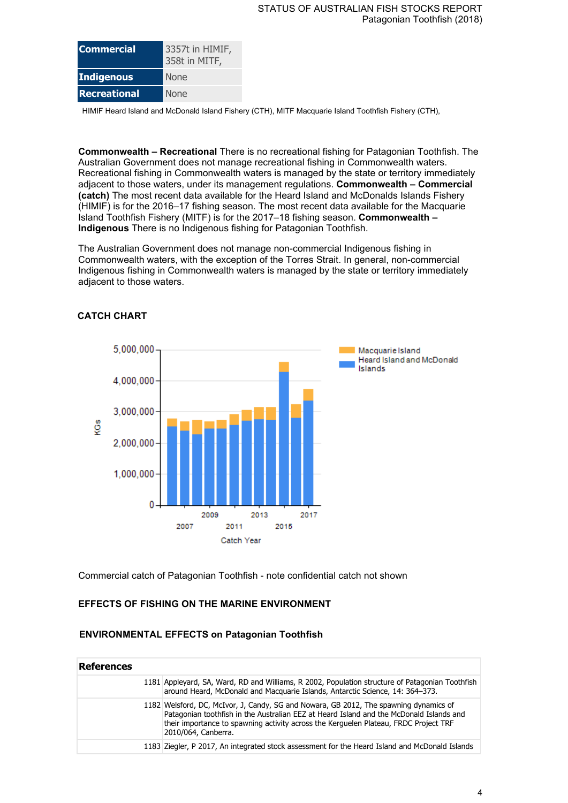| <b>Commercial</b> | 3357t in HIMIF,<br>358t in MITF, |
|-------------------|----------------------------------|
| <b>Indigenous</b> | <b>None</b>                      |
| Recreational      | <b>None</b>                      |

HIMIF Heard Island and McDonald Island Fishery (CTH), MITF Macquarie Island Toothfish Fishery (CTH),

**Commonwealth – Recreational** There is no recreational fishing for Patagonian Toothfish. The Australian Government does not manage recreational fishing in Commonwealth waters. Recreational fishing in Commonwealth waters is managed by the state or territory immediately adjacent to those waters, under its management regulations. **Commonwealth – Commercial (catch)** The most recent data available for the Heard Island and McDonalds Islands Fishery (HIMIF) is for the 2016–17 fishing season. The most recent data available for the Macquarie Island Toothfish Fishery (MITF) is for the 2017–18 fishing season. **Commonwealth – Indigenous** There is no Indigenous fishing for Patagonian Toothfish.

The Australian Government does not manage non-commercial Indigenous fishing in Commonwealth waters, with the exception of the Torres Strait. In general, non-commercial Indigenous fishing in Commonwealth waters is managed by the state or territory immediately adjacent to those waters.



#### **CATCH CHART**

Commercial catch of Patagonian Toothfish - note confidential catch not shown

## **EFFECTS OF FISHING ON THE MARINE ENVIRONMENT**

#### **ENVIRONMENTAL EFFECTS on Patagonian Toothfish**

| <b>References</b> |                                                                                                                                                                                                                                                                                                 |
|-------------------|-------------------------------------------------------------------------------------------------------------------------------------------------------------------------------------------------------------------------------------------------------------------------------------------------|
|                   | 1181 Appleyard, SA, Ward, RD and Williams, R 2002, Population structure of Patagonian Toothfish<br>around Heard, McDonald and Macquarie Islands, Antarctic Science, 14: 364-373.                                                                                                                |
|                   | 1182 Welsford, DC, McIvor, J, Candy, SG and Nowara, GB 2012, The spawning dynamics of<br>Patagonian toothfish in the Australian EEZ at Heard Island and the McDonald Islands and<br>their importance to spawning activity across the Kerguelen Plateau, FRDC Project TRF<br>2010/064, Canberra. |
|                   | 1183 Ziegler, P 2017, An integrated stock assessment for the Heard Island and McDonald Islands                                                                                                                                                                                                  |